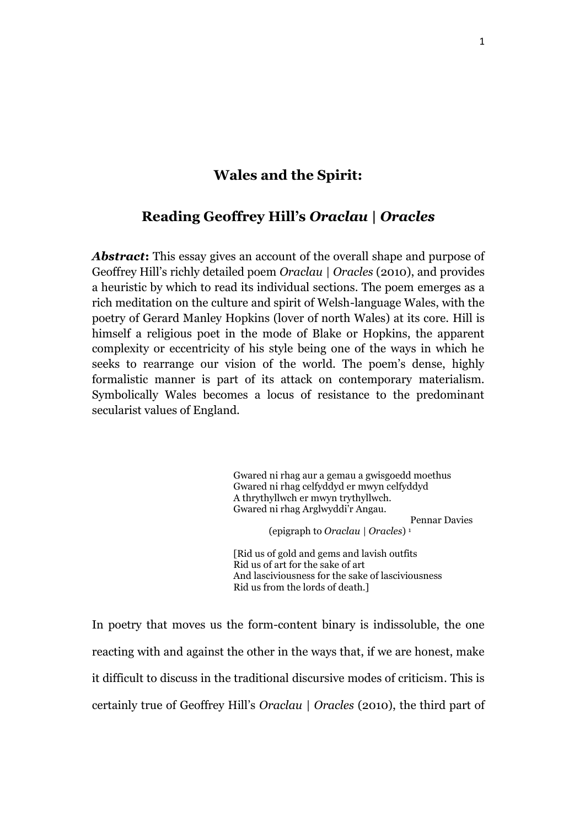# **Wales and the Spirit:**

# **Reading Geoffrey Hill's** *Oraclau | Oracles*

Abstract: This essay gives an account of the overall shape and purpose of Geoffrey Hill's richly detailed poem *Oraclau | Oracles* (2010), and provides a heuristic by which to read its individual sections. The poem emerges as a rich meditation on the culture and spirit of Welsh-language Wales, with the poetry of Gerard Manley Hopkins (lover of north Wales) at its core. Hill is himself a religious poet in the mode of Blake or Hopkins, the apparent complexity or eccentricity of his style being one of the ways in which he seeks to rearrange our vision of the world. The poem's dense, highly formalistic manner is part of its attack on contemporary materialism. Symbolically Wales becomes a locus of resistance to the predominant secularist values of England.

> Gwared ni rhag aur a gemau a gwisgoedd moethus Gwared ni rhag celfyddyd er mwyn celfyddyd A thrythyllwch er mwyn trythyllwch. Gwared ni rhag Arglwyddi'r Angau. Pennar Davies (epigraph to *Oraclau | Oracles*) 1

[Rid us of gold and gems and lavish outfits Rid us of art for the sake of art And lasciviousness for the sake of lasciviousness Rid us from the lords of death.]

In poetry that moves us the form-content binary is indissoluble, the one reacting with and against the other in the ways that, if we are honest, make it difficult to discuss in the traditional discursive modes of criticism. This is certainly true of Geoffrey Hill's *Oraclau | Oracles* (2010), the third part of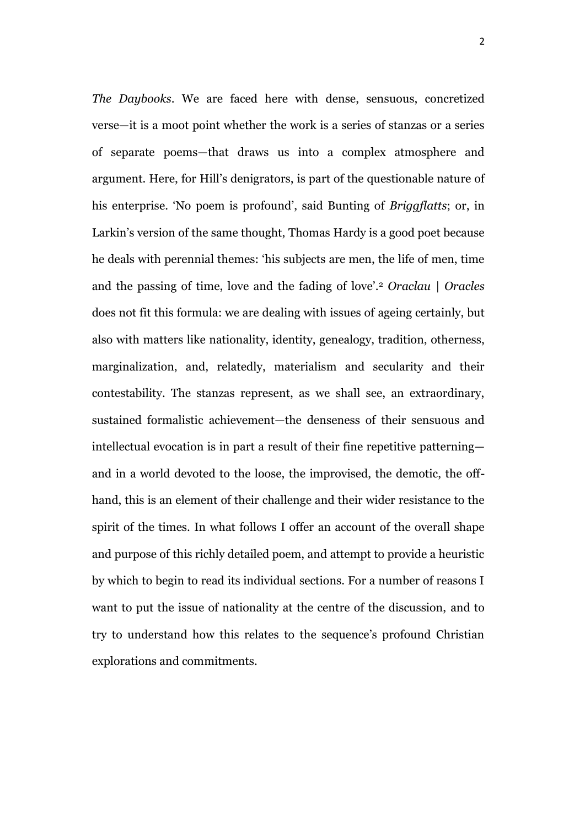*The Daybooks*. We are faced here with dense, sensuous, concretized verse—it is a moot point whether the work is a series of stanzas or a series of separate poems—that draws us into a complex atmosphere and argument. Here, for Hill's denigrators, is part of the questionable nature of his enterprise. 'No poem is profound', said Bunting of *Briggflatts*; or, in Larkin's version of the same thought, Thomas Hardy is a good poet because he deals with perennial themes: 'his subjects are men, the life of men, time and the passing of time, love and the fading of love'.<sup>2</sup> *Oraclau | Oracles*  does not fit this formula: we are dealing with issues of ageing certainly, but also with matters like nationality, identity, genealogy, tradition, otherness, marginalization, and, relatedly, materialism and secularity and their contestability. The stanzas represent, as we shall see, an extraordinary, sustained formalistic achievement—the denseness of their sensuous and intellectual evocation is in part a result of their fine repetitive patterning and in a world devoted to the loose, the improvised, the demotic, the offhand, this is an element of their challenge and their wider resistance to the spirit of the times. In what follows I offer an account of the overall shape and purpose of this richly detailed poem, and attempt to provide a heuristic by which to begin to read its individual sections. For a number of reasons I want to put the issue of nationality at the centre of the discussion, and to try to understand how this relates to the sequence's profound Christian explorations and commitments.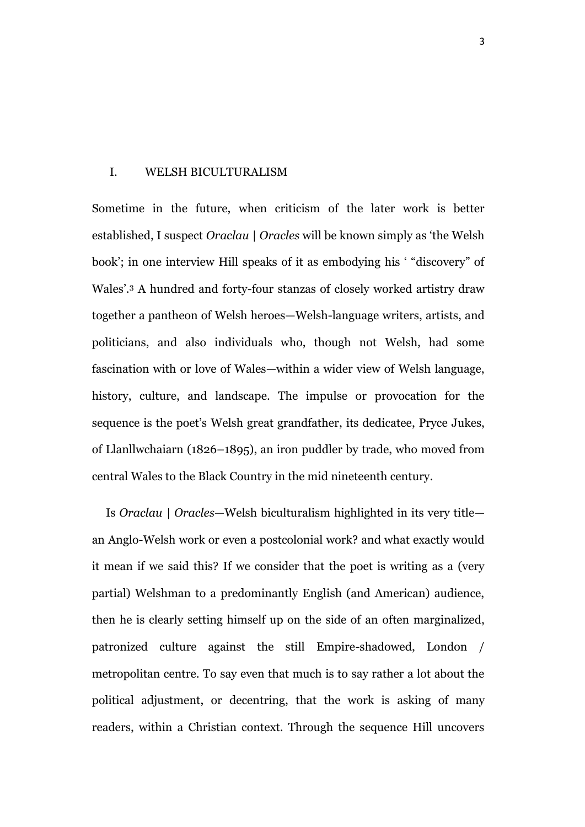## I. WELSH BICULTURALISM

Sometime in the future, when criticism of the later work is better established, I suspect *Oraclau | Oracles* will be known simply as 'the Welsh book'; in one interview Hill speaks of it as embodying his ' "discovery" of Wales'.<sup>3</sup> A hundred and forty-four stanzas of closely worked artistry draw together a pantheon of Welsh heroes—Welsh-language writers, artists, and politicians, and also individuals who, though not Welsh, had some fascination with or love of Wales—within a wider view of Welsh language, history, culture, and landscape. The impulse or provocation for the sequence is the poet's Welsh great grandfather, its dedicatee, Pryce Jukes, of Llanllwchaiarn (1826–1895), an iron puddler by trade, who moved from central Wales to the Black Country in the mid nineteenth century*.* 

Is *Oraclau | Oracles—*Welsh biculturalism highlighted in its very title an Anglo-Welsh work or even a postcolonial work? and what exactly would it mean if we said this? If we consider that the poet is writing as a (very partial) Welshman to a predominantly English (and American) audience, then he is clearly setting himself up on the side of an often marginalized, patronized culture against the still Empire-shadowed, London / metropolitan centre. To say even that much is to say rather a lot about the political adjustment, or decentring, that the work is asking of many readers, within a Christian context. Through the sequence Hill uncovers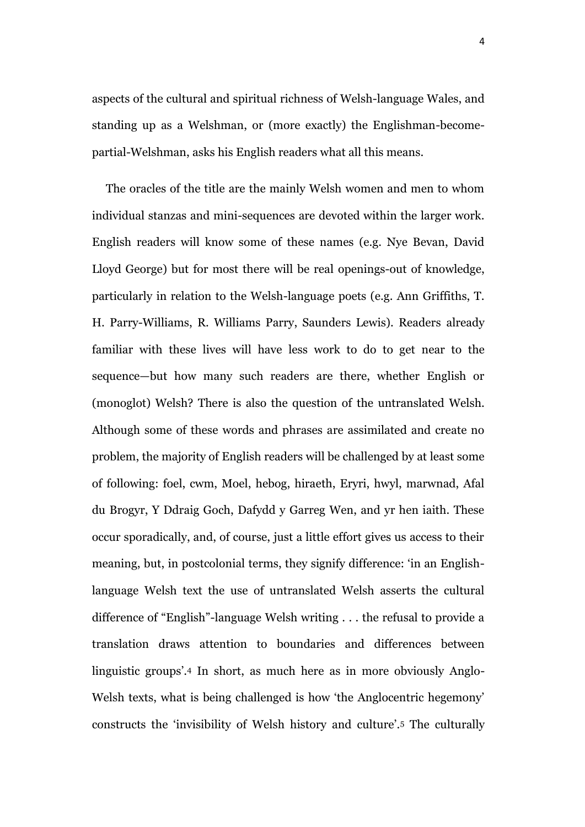aspects of the cultural and spiritual richness of Welsh-language Wales, and standing up as a Welshman, or (more exactly) the Englishman-becomepartial-Welshman, asks his English readers what all this means.

The oracles of the title are the mainly Welsh women and men to whom individual stanzas and mini-sequences are devoted within the larger work. English readers will know some of these names (e.g. Nye Bevan, David Lloyd George) but for most there will be real openings-out of knowledge, particularly in relation to the Welsh-language poets (e.g. Ann Griffiths, T. H. Parry-Williams, R. Williams Parry, Saunders Lewis). Readers already familiar with these lives will have less work to do to get near to the sequence—but how many such readers are there, whether English or (monoglot) Welsh? There is also the question of the untranslated Welsh. Although some of these words and phrases are assimilated and create no problem, the majority of English readers will be challenged by at least some of following: foel, cwm, Moel, hebog, hiraeth, Eryri, hwyl, marwnad, Afal du Brogyr, Y Ddraig Goch, Dafydd y Garreg Wen, and yr hen iaith. These occur sporadically, and, of course, just a little effort gives us access to their meaning, but, in postcolonial terms, they signify difference: 'in an Englishlanguage Welsh text the use of untranslated Welsh asserts the cultural difference of "English"-language Welsh writing . . . the refusal to provide a translation draws attention to boundaries and differences between linguistic groups'.<sup>4</sup> In short, as much here as in more obviously Anglo-Welsh texts, what is being challenged is how 'the Anglocentric hegemony' constructs the 'invisibility of Welsh history and culture'.<sup>5</sup> The culturally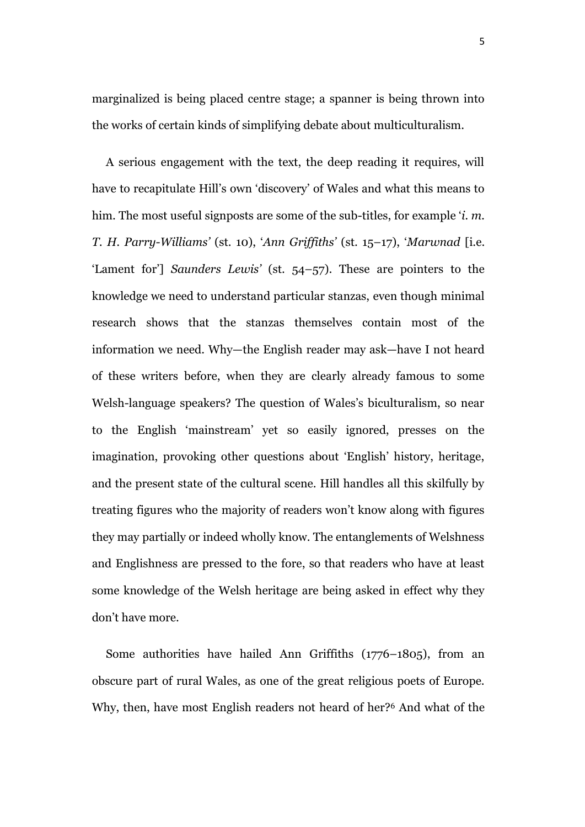marginalized is being placed centre stage; a spanner is being thrown into the works of certain kinds of simplifying debate about multiculturalism.

A serious engagement with the text, the deep reading it requires, will have to recapitulate Hill's own 'discovery' of Wales and what this means to him. The most useful signposts are some of the sub-titles, for example '*i. m. T. H. Parry-Williams'* (st. 10), '*Ann Griffiths'* (st. 15–17), '*Marwnad* [i.e. 'Lament for'] *Saunders Lewis'* (st. 54–57)*.* These are pointers to the knowledge we need to understand particular stanzas, even though minimal research shows that the stanzas themselves contain most of the information we need. Why—the English reader may ask—have I not heard of these writers before, when they are clearly already famous to some Welsh-language speakers? The question of Wales's biculturalism, so near to the English 'mainstream' yet so easily ignored, presses on the imagination, provoking other questions about 'English' history, heritage, and the present state of the cultural scene. Hill handles all this skilfully by treating figures who the majority of readers won't know along with figures they may partially or indeed wholly know. The entanglements of Welshness and Englishness are pressed to the fore, so that readers who have at least some knowledge of the Welsh heritage are being asked in effect why they don't have more.

Some authorities have hailed Ann Griffiths (1776–1805), from an obscure part of rural Wales, as one of the great religious poets of Europe. Why, then, have most English readers not heard of her?<sup>6</sup> And what of the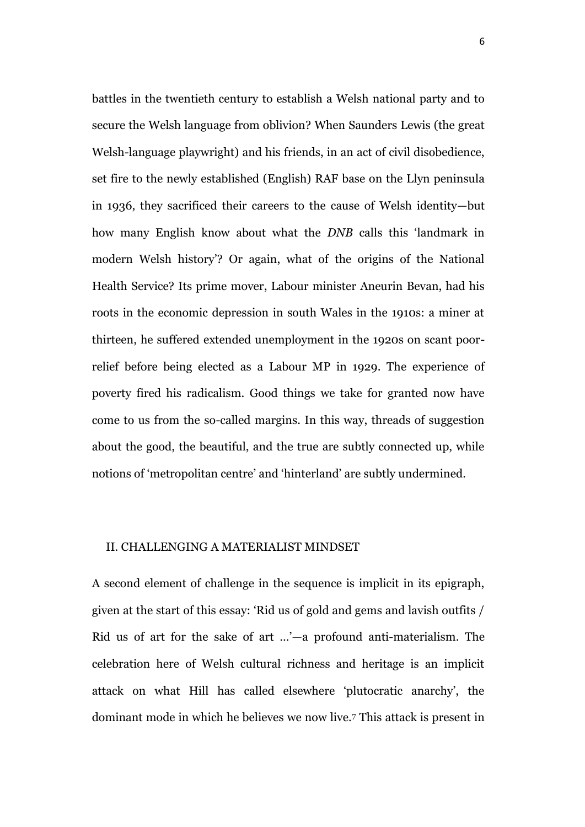battles in the twentieth century to establish a Welsh national party and to secure the Welsh language from oblivion? When Saunders Lewis (the great Welsh-language playwright) and his friends, in an act of civil disobedience, set fire to the newly established (English) RAF base on the Llyn peninsula in 1936, they sacrificed their careers to the cause of Welsh identity—but how many English know about what the *DNB* calls this 'landmark in modern Welsh history'? Or again, what of the origins of the National Health Service? Its prime mover, Labour minister Aneurin Bevan, had his roots in the economic depression in south Wales in the 1910s: a miner at thirteen, he suffered extended unemployment in the 1920s on scant poorrelief before being elected as a Labour MP in 1929. The experience of poverty fired his radicalism. Good things we take for granted now have come to us from the so-called margins. In this way, threads of suggestion about the good, the beautiful, and the true are subtly connected up, while notions of 'metropolitan centre' and 'hinterland' are subtly undermined.

## II. CHALLENGING A MATERIALIST MINDSET

A second element of challenge in the sequence is implicit in its epigraph, given at the start of this essay: 'Rid us of gold and gems and lavish outfits / Rid us of art for the sake of art …'—a profound anti-materialism. The celebration here of Welsh cultural richness and heritage is an implicit attack on what Hill has called elsewhere 'plutocratic anarchy', the dominant mode in which he believes we now live.<sup>7</sup> This attack is present in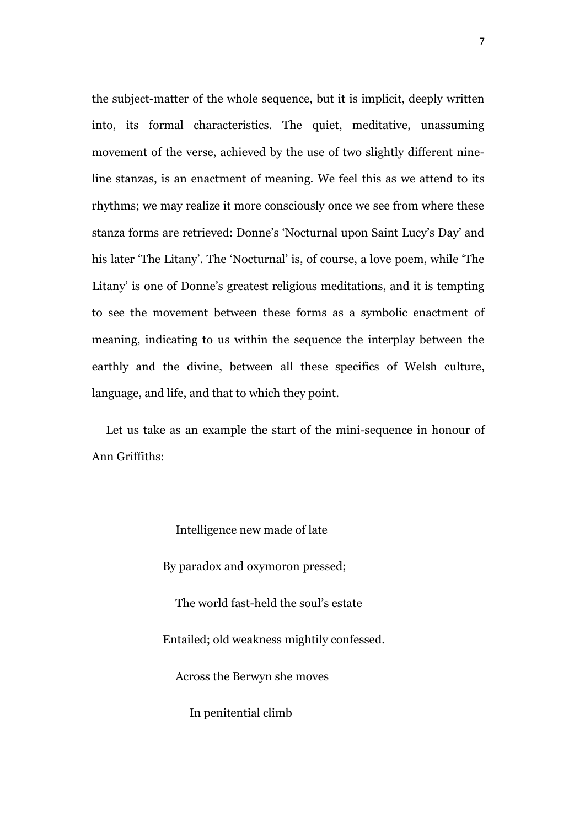the subject-matter of the whole sequence, but it is implicit, deeply written into, its formal characteristics. The quiet, meditative, unassuming movement of the verse, achieved by the use of two slightly different nineline stanzas, is an enactment of meaning. We feel this as we attend to its rhythms; we may realize it more consciously once we see from where these stanza forms are retrieved: Donne's 'Nocturnal upon Saint Lucy's Day' and his later 'The Litany'. The 'Nocturnal' is, of course, a love poem, while 'The Litany' is one of Donne's greatest religious meditations, and it is tempting to see the movement between these forms as a symbolic enactment of meaning, indicating to us within the sequence the interplay between the earthly and the divine, between all these specifics of Welsh culture, language, and life, and that to which they point.

Let us take as an example the start of the mini-sequence in honour of Ann Griffiths:

Intelligence new made of late

By paradox and oxymoron pressed;

The world fast-held the soul's estate

Entailed; old weakness mightily confessed.

Across the Berwyn she moves

In penitential climb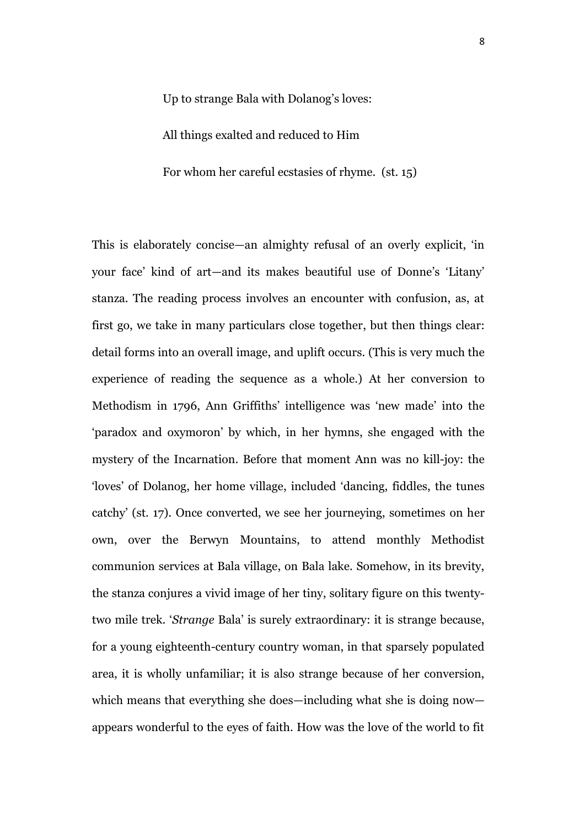Up to strange Bala with Dolanog's loves:

All things exalted and reduced to Him

For whom her careful ecstasies of rhyme. (st. 15)

This is elaborately concise—an almighty refusal of an overly explicit, 'in your face' kind of art—and its makes beautiful use of Donne's 'Litany' stanza. The reading process involves an encounter with confusion, as, at first go, we take in many particulars close together, but then things clear: detail forms into an overall image, and uplift occurs. (This is very much the experience of reading the sequence as a whole.) At her conversion to Methodism in 1796, Ann Griffiths' intelligence was 'new made' into the 'paradox and oxymoron' by which, in her hymns, she engaged with the mystery of the Incarnation. Before that moment Ann was no kill-joy: the 'loves' of Dolanog, her home village, included 'dancing, fiddles, the tunes catchy' (st. 17). Once converted, we see her journeying, sometimes on her own, over the Berwyn Mountains, to attend monthly Methodist communion services at Bala village, on Bala lake. Somehow, in its brevity, the stanza conjures a vivid image of her tiny, solitary figure on this twentytwo mile trek. '*Strange* Bala' is surely extraordinary: it is strange because, for a young eighteenth-century country woman, in that sparsely populated area, it is wholly unfamiliar; it is also strange because of her conversion, which means that everything she does—including what she is doing now appears wonderful to the eyes of faith. How was the love of the world to fit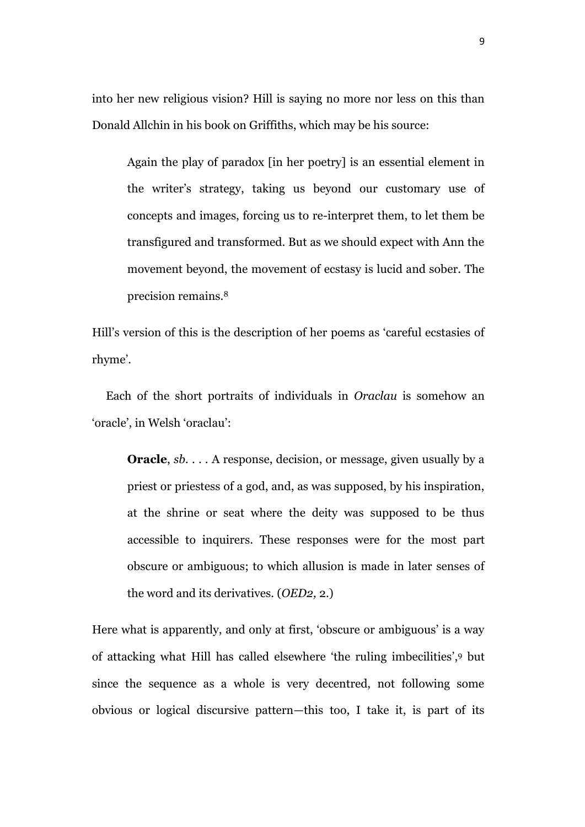into her new religious vision? Hill is saying no more nor less on this than Donald Allchin in his book on Griffiths, which may be his source:

Again the play of paradox [in her poetry] is an essential element in the writer's strategy, taking us beyond our customary use of concepts and images, forcing us to re-interpret them, to let them be transfigured and transformed. But as we should expect with Ann the movement beyond, the movement of ecstasy is lucid and sober. The precision remains.<sup>8</sup>

Hill's version of this is the description of her poems as 'careful ecstasies of rhyme'.

Each of the short portraits of individuals in *Oraclau* is somehow an 'oracle', in Welsh 'oraclau':

**Oracle**, *sb.* . . . A response, decision, or message, given usually by a priest or priestess of a god, and, as was supposed, by his inspiration, at the shrine or seat where the deity was supposed to be thus accessible to inquirers. These responses were for the most part obscure or ambiguous; to which allusion is made in later senses of the word and its derivatives. (*OED2,* 2.)

Here what is apparently, and only at first, 'obscure or ambiguous' is a way of attacking what Hill has called elsewhere 'the ruling imbecilities',<sup>9</sup> but since the sequence as a whole is very decentred, not following some obvious or logical discursive pattern—this too, I take it, is part of its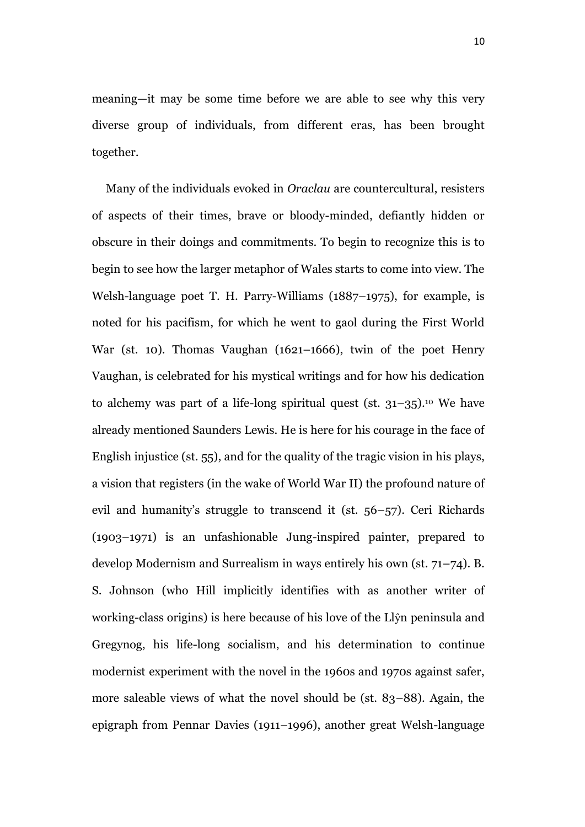meaning—it may be some time before we are able to see why this very diverse group of individuals, from different eras, has been brought together.

Many of the individuals evoked in *Oraclau* are countercultural, resisters of aspects of their times, brave or bloody-minded, defiantly hidden or obscure in their doings and commitments. To begin to recognize this is to begin to see how the larger metaphor of Wales starts to come into view. The Welsh-language poet T. H. Parry-Williams (1887–1975), for example, is noted for his pacifism, for which he went to gaol during the First World War (st. 10). Thomas Vaughan (1621–1666), twin of the poet Henry Vaughan, is celebrated for his mystical writings and for how his dedication to alchemy was part of a life-long spiritual quest (st.  $31-35$ ).<sup>10</sup> We have already mentioned Saunders Lewis. He is here for his courage in the face of English injustice (st. 55), and for the quality of the tragic vision in his plays, a vision that registers (in the wake of World War II) the profound nature of evil and humanity's struggle to transcend it (st. 56–57). Ceri Richards (1903–1971) is an unfashionable Jung-inspired painter, prepared to develop Modernism and Surrealism in ways entirely his own (st. 71–74). B. S. Johnson (who Hill implicitly identifies with as another writer of working-class origins) is here because of his love of the Llŷn peninsula and Gregynog, his life-long socialism, and his determination to continue modernist experiment with the novel in the 1960s and 1970s against safer, more saleable views of what the novel should be (st. 83–88). Again, the epigraph from Pennar Davies (1911–1996), another great Welsh-language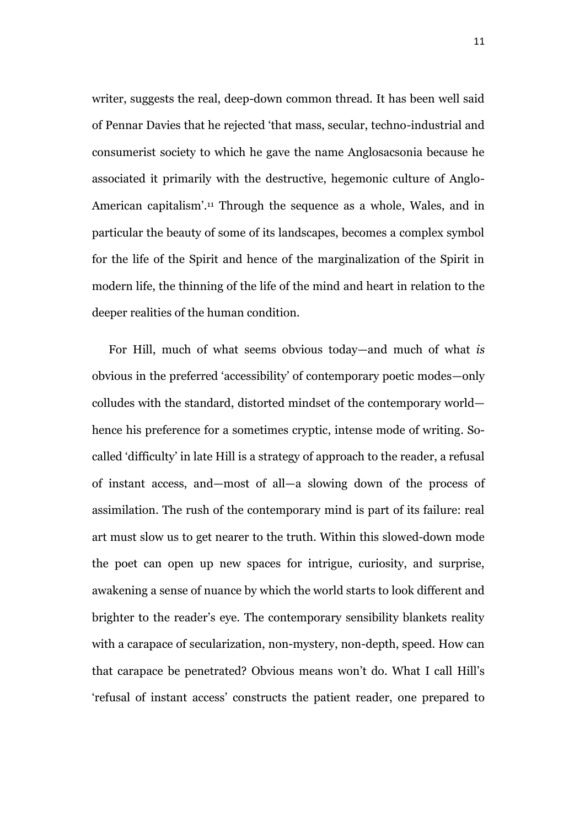writer, suggests the real, deep-down common thread. It has been well said of Pennar Davies that he rejected 'that mass, secular, techno-industrial and consumerist society to which he gave the name Anglosacsonia because he associated it primarily with the destructive, hegemonic culture of Anglo-American capitalism'.<sup>11</sup> Through the sequence as a whole, Wales, and in particular the beauty of some of its landscapes, becomes a complex symbol for the life of the Spirit and hence of the marginalization of the Spirit in modern life, the thinning of the life of the mind and heart in relation to the deeper realities of the human condition.

For Hill, much of what seems obvious today—and much of what *is* obvious in the preferred 'accessibility' of contemporary poetic modes—only colludes with the standard, distorted mindset of the contemporary world hence his preference for a sometimes cryptic, intense mode of writing. Socalled 'difficulty' in late Hill is a strategy of approach to the reader, a refusal of instant access, and—most of all—a slowing down of the process of assimilation. The rush of the contemporary mind is part of its failure: real art must slow us to get nearer to the truth. Within this slowed-down mode the poet can open up new spaces for intrigue, curiosity, and surprise, awakening a sense of nuance by which the world starts to look different and brighter to the reader's eye. The contemporary sensibility blankets reality with a carapace of secularization, non-mystery, non-depth, speed. How can that carapace be penetrated? Obvious means won't do. What I call Hill's 'refusal of instant access' constructs the patient reader, one prepared to

11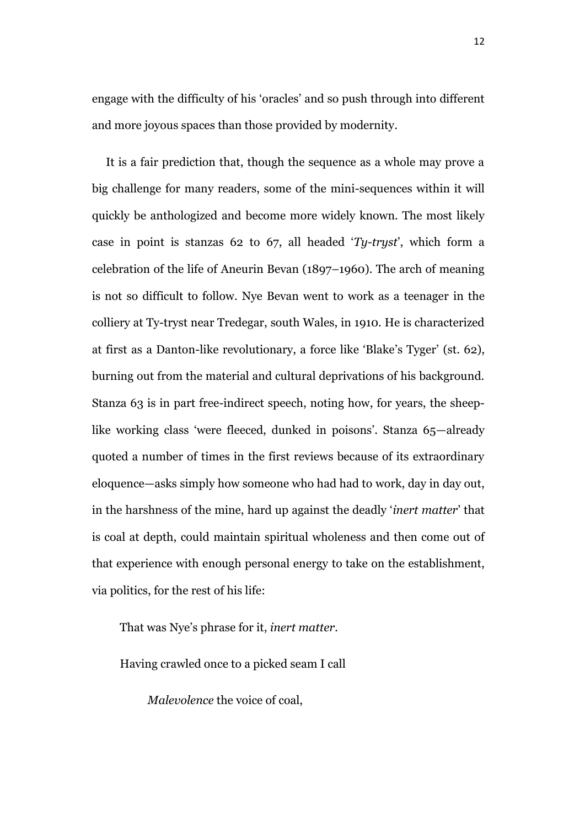engage with the difficulty of his 'oracles' and so push through into different and more joyous spaces than those provided by modernity.

It is a fair prediction that, though the sequence as a whole may prove a big challenge for many readers, some of the mini-sequences within it will quickly be anthologized and become more widely known. The most likely case in point is stanzas 62 to 67, all headed '*Ty-tryst*', which form a celebration of the life of Aneurin Bevan (1897–1960). The arch of meaning is not so difficult to follow. Nye Bevan went to work as a teenager in the colliery at Ty-tryst near Tredegar, south Wales, in 1910. He is characterized at first as a Danton-like revolutionary, a force like 'Blake's Tyger' (st. 62), burning out from the material and cultural deprivations of his background. Stanza 63 is in part free-indirect speech, noting how, for years, the sheeplike working class 'were fleeced, dunked in poisons'. Stanza 65—already quoted a number of times in the first reviews because of its extraordinary eloquence—asks simply how someone who had had to work, day in day out, in the harshness of the mine, hard up against the deadly '*inert matter*' that is coal at depth, could maintain spiritual wholeness and then come out of that experience with enough personal energy to take on the establishment, via politics, for the rest of his life:

That was Nye's phrase for it, *inert matter.*

Having crawled once to a picked seam I call

*Malevolence* the voice of coal,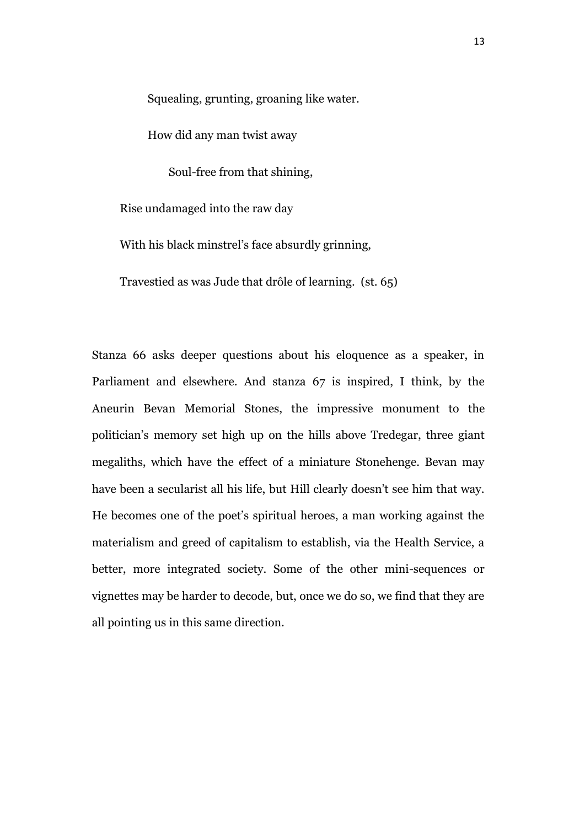Squealing, grunting, groaning like water.

How did any man twist away

Soul-free from that shining,

Rise undamaged into the raw day

With his black minstrel's face absurdly grinning,

Travestied as was Jude that drôle of learning. (st. 65)

Stanza 66 asks deeper questions about his eloquence as a speaker, in Parliament and elsewhere. And stanza 67 is inspired, I think, by the Aneurin Bevan Memorial Stones, the impressive monument to the politician's memory set high up on the hills above Tredegar, three giant megaliths, which have the effect of a miniature Stonehenge. Bevan may have been a secularist all his life, but Hill clearly doesn't see him that way. He becomes one of the poet's spiritual heroes, a man working against the materialism and greed of capitalism to establish, via the Health Service, a better, more integrated society. Some of the other mini-sequences or vignettes may be harder to decode, but, once we do so, we find that they are all pointing us in this same direction.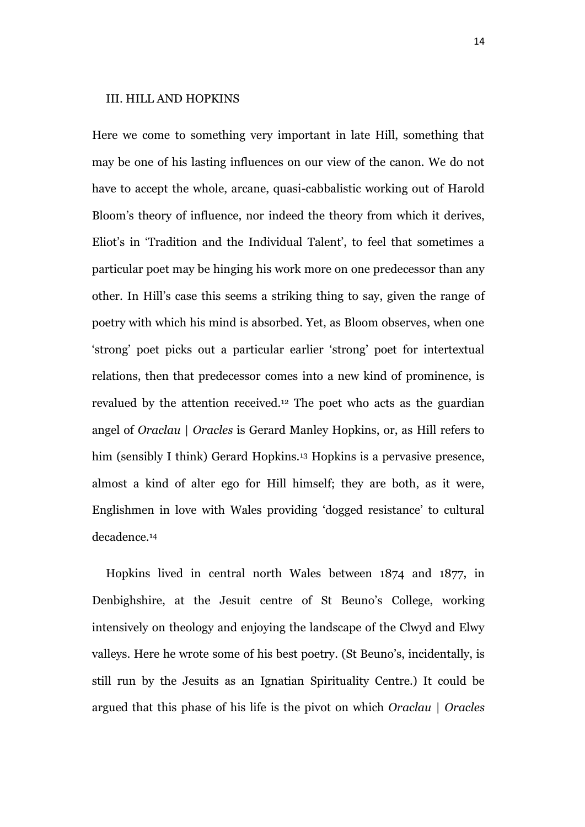## III. HILL AND HOPKINS

Here we come to something very important in late Hill, something that may be one of his lasting influences on our view of the canon. We do not have to accept the whole, arcane, quasi-cabbalistic working out of Harold Bloom's theory of influence, nor indeed the theory from which it derives, Eliot's in 'Tradition and the Individual Talent', to feel that sometimes a particular poet may be hinging his work more on one predecessor than any other. In Hill's case this seems a striking thing to say, given the range of poetry with which his mind is absorbed. Yet, as Bloom observes, when one 'strong' poet picks out a particular earlier 'strong' poet for intertextual relations, then that predecessor comes into a new kind of prominence, is revalued by the attention received.<sup>12</sup> The poet who acts as the guardian angel of *Oraclau* | *Oracles* is Gerard Manley Hopkins, or, as Hill refers to him (sensibly I think) Gerard Hopkins.<sup>13</sup> Hopkins is a pervasive presence, almost a kind of alter ego for Hill himself; they are both, as it were, Englishmen in love with Wales providing 'dogged resistance' to cultural decadence.<sup>14</sup>

Hopkins lived in central north Wales between 1874 and 1877, in Denbighshire, at the Jesuit centre of St Beuno's College, working intensively on theology and enjoying the landscape of the Clwyd and Elwy valleys. Here he wrote some of his best poetry. (St Beuno's, incidentally, is still run by the Jesuits as an Ignatian Spirituality Centre.) It could be argued that this phase of his life is the pivot on which *Oraclau* | *Oracles*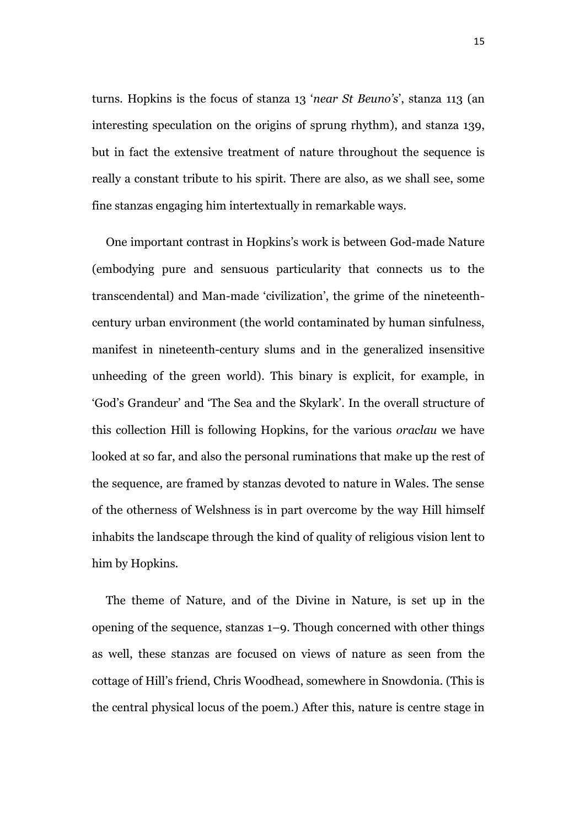turns. Hopkins is the focus of stanza 13 '*near St Beuno's*', stanza 113 (an interesting speculation on the origins of sprung rhythm), and stanza 139, but in fact the extensive treatment of nature throughout the sequence is really a constant tribute to his spirit. There are also, as we shall see, some fine stanzas engaging him intertextually in remarkable ways.

One important contrast in Hopkins's work is between God-made Nature (embodying pure and sensuous particularity that connects us to the transcendental) and Man-made 'civilization', the grime of the nineteenthcentury urban environment (the world contaminated by human sinfulness, manifest in nineteenth-century slums and in the generalized insensitive unheeding of the green world). This binary is explicit, for example, in 'God's Grandeur' and 'The Sea and the Skylark'. In the overall structure of this collection Hill is following Hopkins, for the various *oraclau* we have looked at so far, and also the personal ruminations that make up the rest of the sequence, are framed by stanzas devoted to nature in Wales. The sense of the otherness of Welshness is in part overcome by the way Hill himself inhabits the landscape through the kind of quality of religious vision lent to him by Hopkins.

The theme of Nature, and of the Divine in Nature, is set up in the opening of the sequence, stanzas 1–9. Though concerned with other things as well, these stanzas are focused on views of nature as seen from the cottage of Hill's friend, Chris Woodhead, somewhere in Snowdonia. (This is the central physical locus of the poem.) After this, nature is centre stage in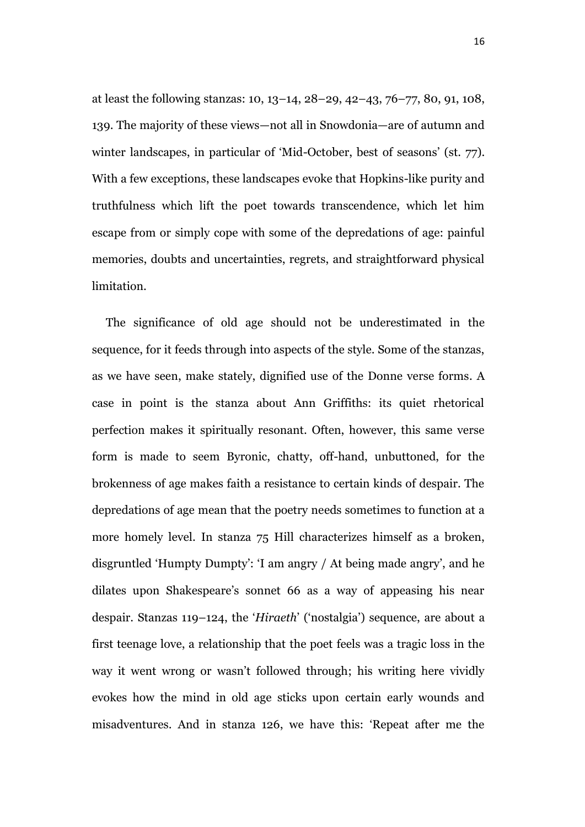at least the following stanzas: 10, 13–14, 28–29, 42–43, 76–77, 80, 91, 108, 139. The majority of these views—not all in Snowdonia—are of autumn and winter landscapes, in particular of 'Mid-October, best of seasons' (st. 77). With a few exceptions, these landscapes evoke that Hopkins-like purity and truthfulness which lift the poet towards transcendence, which let him escape from or simply cope with some of the depredations of age: painful memories, doubts and uncertainties, regrets, and straightforward physical limitation.

The significance of old age should not be underestimated in the sequence, for it feeds through into aspects of the style. Some of the stanzas, as we have seen, make stately, dignified use of the Donne verse forms. A case in point is the stanza about Ann Griffiths: its quiet rhetorical perfection makes it spiritually resonant. Often, however, this same verse form is made to seem Byronic, chatty, off-hand, unbuttoned, for the brokenness of age makes faith a resistance to certain kinds of despair. The depredations of age mean that the poetry needs sometimes to function at a more homely level. In stanza 75 Hill characterizes himself as a broken, disgruntled 'Humpty Dumpty': 'I am angry / At being made angry', and he dilates upon Shakespeare's sonnet 66 as a way of appeasing his near despair. Stanzas 119–124, the '*Hiraeth*' ('nostalgia') sequence, are about a first teenage love, a relationship that the poet feels was a tragic loss in the way it went wrong or wasn't followed through; his writing here vividly evokes how the mind in old age sticks upon certain early wounds and misadventures. And in stanza 126, we have this: 'Repeat after me the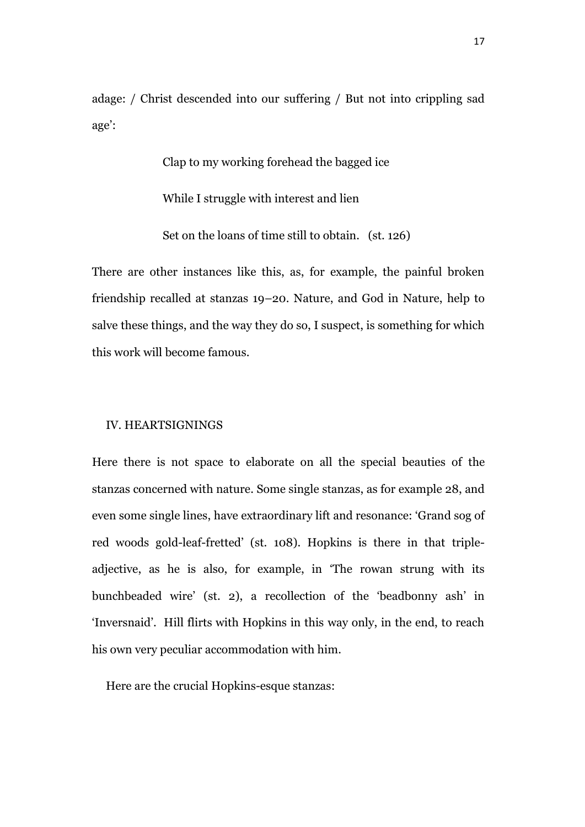adage: / Christ descended into our suffering / But not into crippling sad age':

> Clap to my working forehead the bagged ice While I struggle with interest and lien Set on the loans of time still to obtain. (st. 126)

There are other instances like this, as, for example, the painful broken friendship recalled at stanzas 19–20. Nature, and God in Nature, help to salve these things, and the way they do so, I suspect, is something for which this work will become famous.

## IV. HEARTSIGNINGS

Here there is not space to elaborate on all the special beauties of the stanzas concerned with nature. Some single stanzas, as for example 28, and even some single lines, have extraordinary lift and resonance: 'Grand sog of red woods gold-leaf-fretted' (st. 108). Hopkins is there in that tripleadjective, as he is also, for example, in 'The rowan strung with its bunchbeaded wire' (st. 2), a recollection of the 'beadbonny ash' in 'Inversnaid'. Hill flirts with Hopkins in this way only, in the end, to reach his own very peculiar accommodation with him.

Here are the crucial Hopkins-esque stanzas: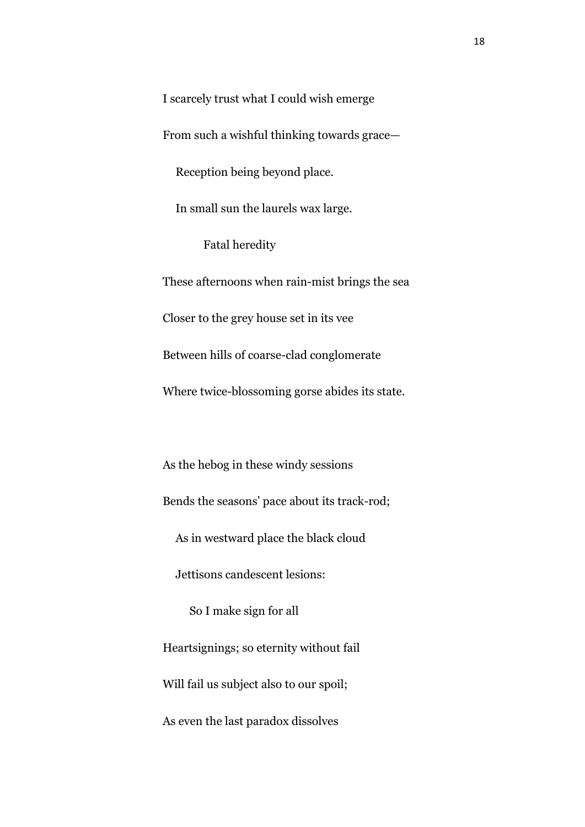I scarcely trust what I could wish emerge

From such a wishful thinking towards grace—

Reception being beyond place.

In small sun the laurels wax large.

Fatal heredity

These afternoons when rain-mist brings the sea Closer to the grey house set in its vee Between hills of coarse-clad conglomerate Where twice-blossoming gorse abides its state.

As the hebog in these windy sessions Bends the seasons' pace about its track-rod; As in westward place the black cloud Jettisons candescent lesions: So I make sign for all Heartsignings; so eternity without fail Will fail us subject also to our spoil; As even the last paradox dissolves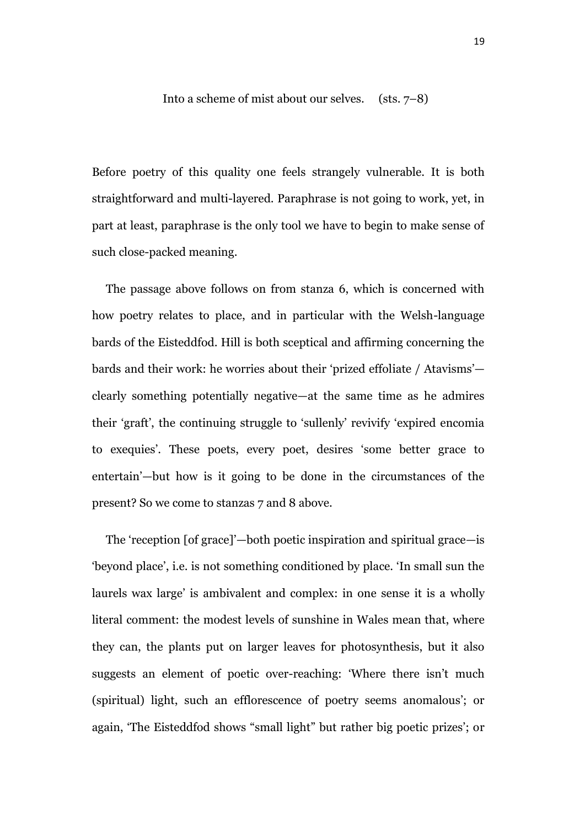Into a scheme of mist about our selves. (sts. 7–8)

Before poetry of this quality one feels strangely vulnerable. It is both straightforward and multi-layered. Paraphrase is not going to work, yet, in part at least, paraphrase is the only tool we have to begin to make sense of such close-packed meaning.

The passage above follows on from stanza 6, which is concerned with how poetry relates to place, and in particular with the Welsh-language bards of the Eisteddfod. Hill is both sceptical and affirming concerning the bards and their work: he worries about their 'prized effoliate / Atavisms' clearly something potentially negative—at the same time as he admires their 'graft', the continuing struggle to 'sullenly' revivify 'expired encomia to exequies'. These poets, every poet, desires 'some better grace to entertain'—but how is it going to be done in the circumstances of the present? So we come to stanzas 7 and 8 above.

The 'reception [of grace]'—both poetic inspiration and spiritual grace—is 'beyond place', i.e. is not something conditioned by place. 'In small sun the laurels wax large' is ambivalent and complex: in one sense it is a wholly literal comment: the modest levels of sunshine in Wales mean that, where they can, the plants put on larger leaves for photosynthesis, but it also suggests an element of poetic over-reaching: 'Where there isn't much (spiritual) light, such an efflorescence of poetry seems anomalous'; or again, 'The Eisteddfod shows "small light" but rather big poetic prizes'; or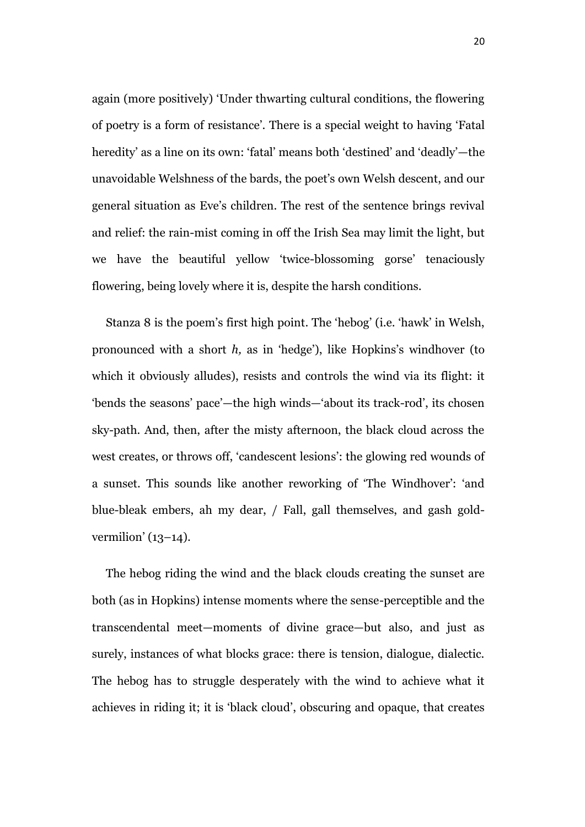again (more positively) 'Under thwarting cultural conditions, the flowering of poetry is a form of resistance'. There is a special weight to having 'Fatal heredity' as a line on its own: 'fatal' means both 'destined' and 'deadly'—the unavoidable Welshness of the bards, the poet's own Welsh descent, and our general situation as Eve's children. The rest of the sentence brings revival and relief: the rain-mist coming in off the Irish Sea may limit the light, but we have the beautiful yellow 'twice-blossoming gorse' tenaciously flowering, being lovely where it is, despite the harsh conditions.

Stanza 8 is the poem's first high point. The 'hebog' (i.e. 'hawk' in Welsh, pronounced with a short *h,* as in 'hedge'), like Hopkins's windhover (to which it obviously alludes), resists and controls the wind via its flight: it 'bends the seasons' pace'—the high winds—'about its track-rod', its chosen sky-path. And, then, after the misty afternoon, the black cloud across the west creates, or throws off, 'candescent lesions': the glowing red wounds of a sunset. This sounds like another reworking of 'The Windhover': 'and blue-bleak embers, ah my dear, / Fall, gall themselves, and gash goldvermilion' (13–14).

The hebog riding the wind and the black clouds creating the sunset are both (as in Hopkins) intense moments where the sense-perceptible and the transcendental meet—moments of divine grace—but also, and just as surely, instances of what blocks grace: there is tension, dialogue, dialectic. The hebog has to struggle desperately with the wind to achieve what it achieves in riding it; it is 'black cloud', obscuring and opaque, that creates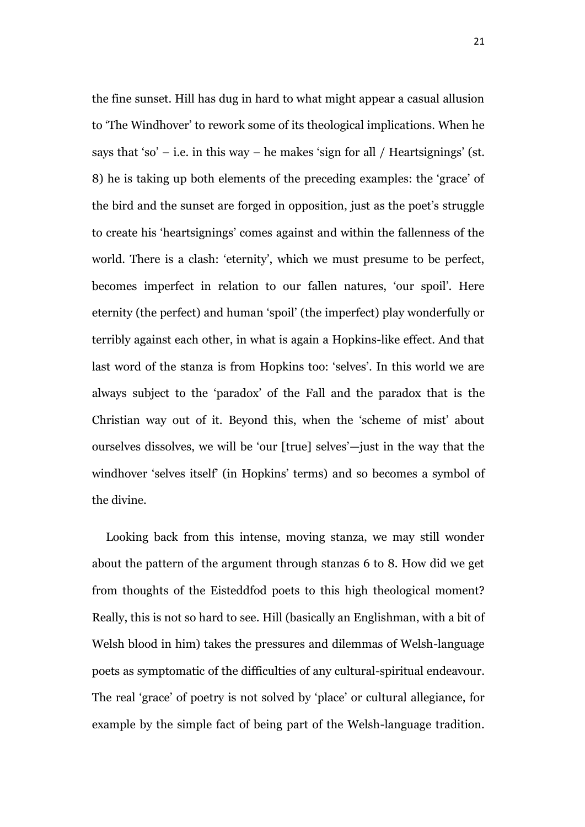the fine sunset. Hill has dug in hard to what might appear a casual allusion to 'The Windhover' to rework some of its theological implications. When he says that 'so' – i.e. in this way – he makes 'sign for all / Heartsignings' (st. 8) he is taking up both elements of the preceding examples: the 'grace' of the bird and the sunset are forged in opposition, just as the poet's struggle to create his 'heartsignings' comes against and within the fallenness of the world. There is a clash: 'eternity', which we must presume to be perfect, becomes imperfect in relation to our fallen natures, 'our spoil'. Here eternity (the perfect) and human 'spoil' (the imperfect) play wonderfully or terribly against each other, in what is again a Hopkins-like effect. And that last word of the stanza is from Hopkins too: 'selves'. In this world we are always subject to the 'paradox' of the Fall and the paradox that is the Christian way out of it. Beyond this, when the 'scheme of mist' about ourselves dissolves, we will be 'our [true] selves'—just in the way that the windhover 'selves itself' (in Hopkins' terms) and so becomes a symbol of the divine.

Looking back from this intense, moving stanza, we may still wonder about the pattern of the argument through stanzas 6 to 8. How did we get from thoughts of the Eisteddfod poets to this high theological moment? Really, this is not so hard to see. Hill (basically an Englishman, with a bit of Welsh blood in him) takes the pressures and dilemmas of Welsh-language poets as symptomatic of the difficulties of any cultural-spiritual endeavour. The real 'grace' of poetry is not solved by 'place' or cultural allegiance, for example by the simple fact of being part of the Welsh-language tradition.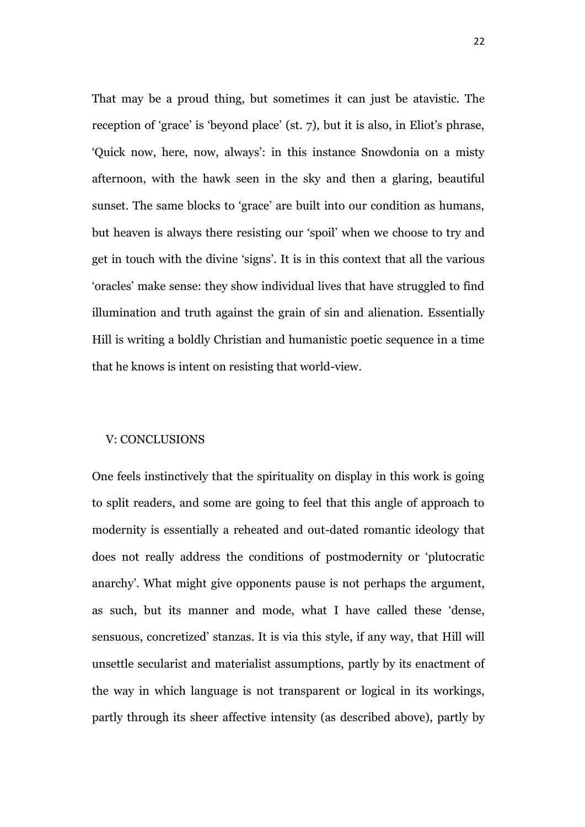That may be a proud thing, but sometimes it can just be atavistic. The reception of 'grace' is 'beyond place' (st. 7), but it is also, in Eliot's phrase, 'Quick now, here, now, always': in this instance Snowdonia on a misty afternoon, with the hawk seen in the sky and then a glaring, beautiful sunset. The same blocks to 'grace' are built into our condition as humans, but heaven is always there resisting our 'spoil' when we choose to try and get in touch with the divine 'signs'. It is in this context that all the various 'oracles' make sense: they show individual lives that have struggled to find illumination and truth against the grain of sin and alienation. Essentially Hill is writing a boldly Christian and humanistic poetic sequence in a time that he knows is intent on resisting that world-view.

#### V: CONCLUSIONS

One feels instinctively that the spirituality on display in this work is going to split readers, and some are going to feel that this angle of approach to modernity is essentially a reheated and out-dated romantic ideology that does not really address the conditions of postmodernity or 'plutocratic anarchy'. What might give opponents pause is not perhaps the argument, as such, but its manner and mode, what I have called these 'dense, sensuous, concretized' stanzas. It is via this style, if any way, that Hill will unsettle secularist and materialist assumptions, partly by its enactment of the way in which language is not transparent or logical in its workings, partly through its sheer affective intensity (as described above), partly by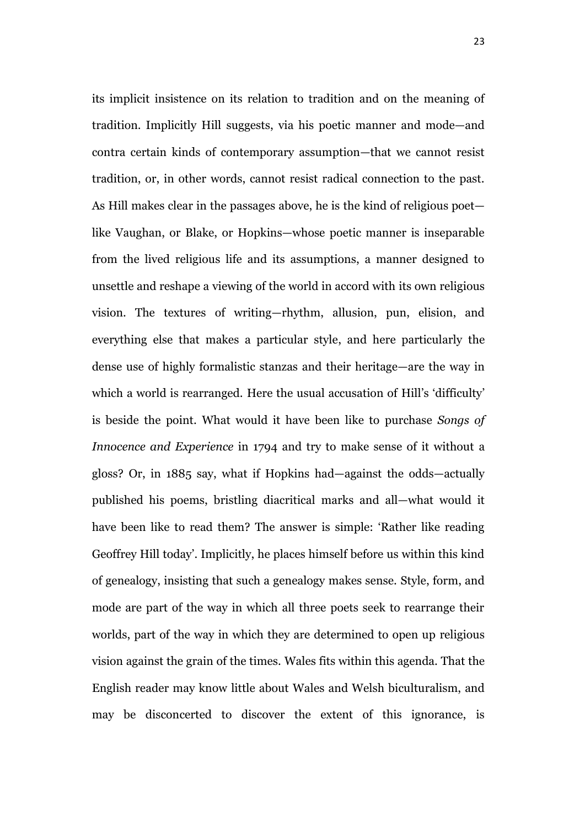its implicit insistence on its relation to tradition and on the meaning of tradition. Implicitly Hill suggests, via his poetic manner and mode—and contra certain kinds of contemporary assumption—that we cannot resist tradition, or, in other words, cannot resist radical connection to the past. As Hill makes clear in the passages above, he is the kind of religious poet like Vaughan, or Blake, or Hopkins—whose poetic manner is inseparable from the lived religious life and its assumptions, a manner designed to unsettle and reshape a viewing of the world in accord with its own religious vision. The textures of writing—rhythm, allusion, pun, elision, and everything else that makes a particular style, and here particularly the dense use of highly formalistic stanzas and their heritage—are the way in which a world is rearranged. Here the usual accusation of Hill's 'difficulty' is beside the point. What would it have been like to purchase *Songs of Innocence and Experience* in 1794 and try to make sense of it without a gloss? Or, in 1885 say, what if Hopkins had—against the odds—actually published his poems, bristling diacritical marks and all—what would it have been like to read them? The answer is simple: 'Rather like reading Geoffrey Hill today'. Implicitly, he places himself before us within this kind of genealogy, insisting that such a genealogy makes sense. Style, form, and mode are part of the way in which all three poets seek to rearrange their worlds, part of the way in which they are determined to open up religious vision against the grain of the times. Wales fits within this agenda. That the English reader may know little about Wales and Welsh biculturalism, and may be disconcerted to discover the extent of this ignorance, is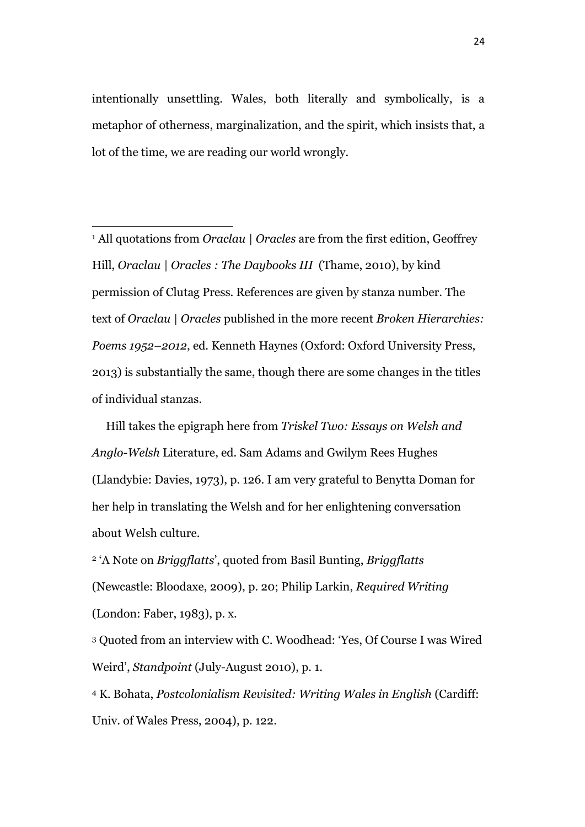intentionally unsettling. Wales, both literally and symbolically, is a metaphor of otherness, marginalization, and the spirit, which insists that, a lot of the time, we are reading our world wrongly.

<sup>1</sup> All quotations from *Oraclau | Oracles* are from the first edition, Geoffrey Hill, *Oraclau | Oracles : The Daybooks III* (Thame, 2010), by kind permission of Clutag Press. References are given by stanza number. The text of *Oraclau | Oracles* published in the more recent *Broken Hierarchies: Poems 1952–2012*, ed. Kenneth Haynes (Oxford: Oxford University Press, 2013) is substantially the same, though there are some changes in the titles of individual stanzas.

 $\overline{a}$ 

Hill takes the epigraph here from *Triskel Two: Essays on Welsh and Anglo-Welsh* Literature, ed. Sam Adams and Gwilym Rees Hughes (Llandybie: Davies, 1973), p. 126. I am very grateful to Benytta Doman for her help in translating the Welsh and for her enlightening conversation about Welsh culture.

<sup>2</sup> 'A Note on *Briggflatts*', quoted from Basil Bunting, *Briggflatts*  (Newcastle: Bloodaxe, 2009), p. 20; Philip Larkin, *Required Writing*  (London: Faber, 1983), p. x.

<sup>3</sup> Quoted from an interview with C. Woodhead: 'Yes, Of Course I was Wired Weird', *Standpoint* (July-August 2010), p. 1.

<sup>4</sup> K. Bohata, *Postcolonialism Revisited: Writing Wales in English* (Cardiff: Univ. of Wales Press, 2004), p. 122.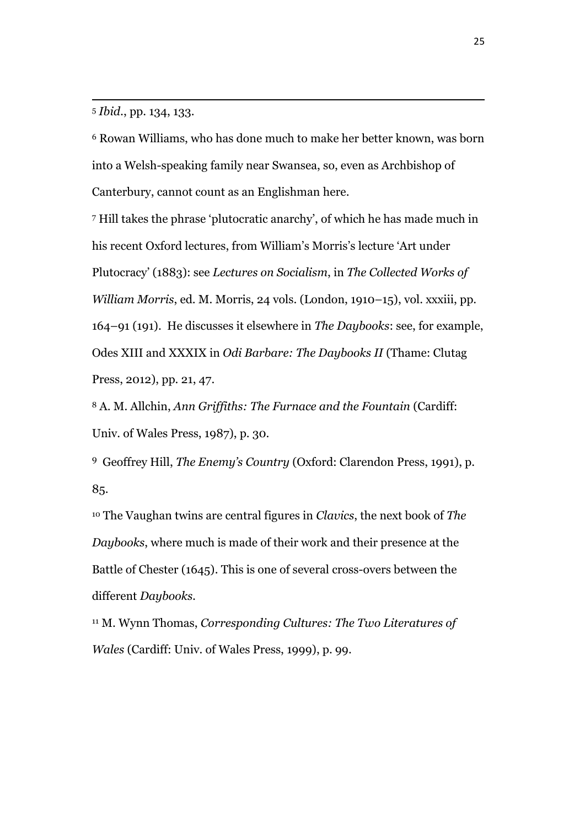<sup>5</sup> *Ibid.*, pp. 134, 133.

 $\overline{a}$ 

<sup>6</sup> Rowan Williams, who has done much to make her better known, was born into a Welsh-speaking family near Swansea, so, even as Archbishop of Canterbury, cannot count as an Englishman here.

<sup>7</sup> Hill takes the phrase 'plutocratic anarchy', of which he has made much in his recent Oxford lectures, from William's Morris's lecture 'Art under Plutocracy' (1883): see *Lectures on Socialism*, in *The Collected Works of William Morris*, ed. M. Morris, 24 vols. (London, 1910–15), vol. xxxiii, pp. 164–91 (191). He discusses it elsewhere in *The Daybooks*: see, for example, Odes XIII and XXXIX in *Odi Barbare: The Daybooks II* (Thame: Clutag Press, 2012), pp. 21, 47.

<sup>8</sup> A. M. Allchin, *Ann Griffiths: The Furnace and the Fountain* (Cardiff: Univ. of Wales Press, 1987), p. 30.

<sup>9</sup> Geoffrey Hill, *The Enemy's Country* (Oxford: Clarendon Press, 1991), p. 85.

<sup>10</sup> The Vaughan twins are central figures in *Clavics*, the next book of *The Daybooks*, where much is made of their work and their presence at the Battle of Chester (1645). This is one of several cross-overs between the different *Daybooks.*

<sup>11</sup> M. Wynn Thomas, *Corresponding Cultures: The Two Literatures of Wales* (Cardiff: Univ. of Wales Press, 1999), p. 99.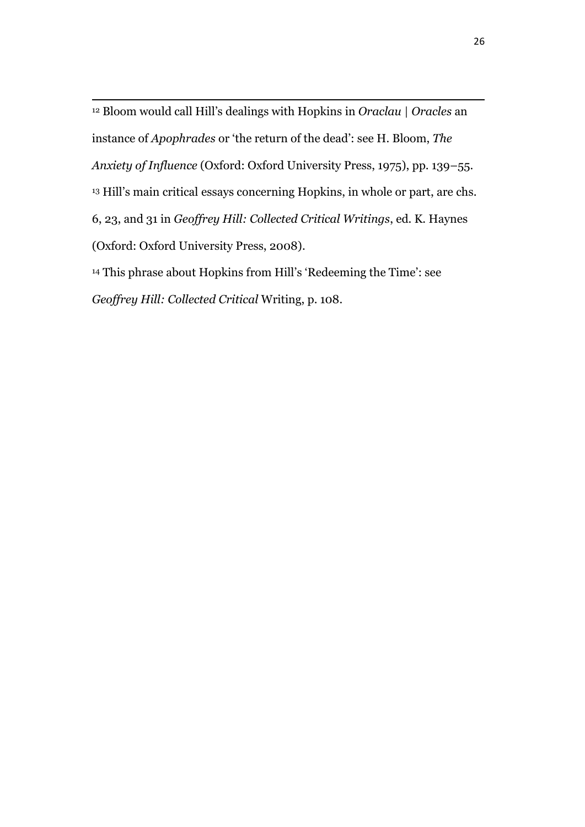$\overline{a}$ <sup>12</sup> Bloom would call Hill's dealings with Hopkins in *Oraclau* | *Oracles* an instance of *Apophrades* or 'the return of the dead': see H. Bloom, *The Anxiety of Influence* (Oxford: Oxford University Press, 1975), pp. 139–55. <sup>13</sup> Hill's main critical essays concerning Hopkins, in whole or part, are chs. 6, 23, and 31 in *Geoffrey Hill: Collected Critical Writings*, ed. K. Haynes (Oxford: Oxford University Press, 2008).

<sup>14</sup> This phrase about Hopkins from Hill's 'Redeeming the Time': see *Geoffrey Hill: Collected Critical* Writing, p. 108.